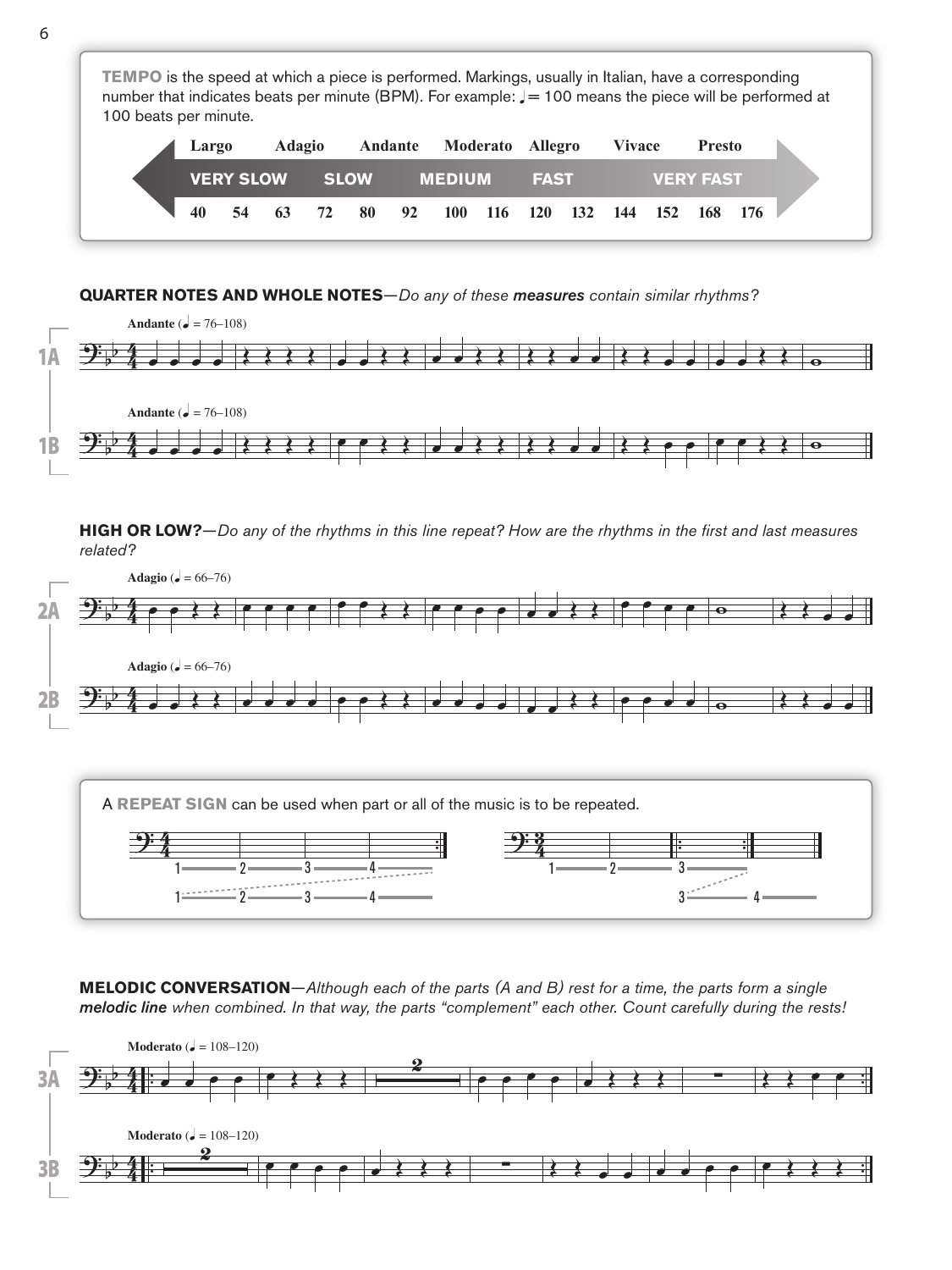**TEMPO** is the speed at which a piece is performed. Markings, usually in Italian, have a corresponding number that indicates beats per minute (BPM). For example:  $J = 100$  means the piece will be performed at 100 beats per minute. **VERY SLOW SLOW MEDIUM FAST VERY FAST 40 54 63 72 80 92 100 116 120 132 144 152 168 176 Largo Adagio Andante Moderato Allegro Vivace Presto**

## **QUARTER NOTES AND WHOLE NOTES**—*Do any of these measures contain similar rhythms?*



**HIGH OR LOW?**—*Do any of the rhythms in this line repeat? How are the rhythms in the first and last measures related?*



**MELODIC CONVERSATION**—*Although each of the parts (A and B) rest for a time, the parts form a single melodic line when combined. In that way, the parts "complement" each other. Count carefully during the rests!*

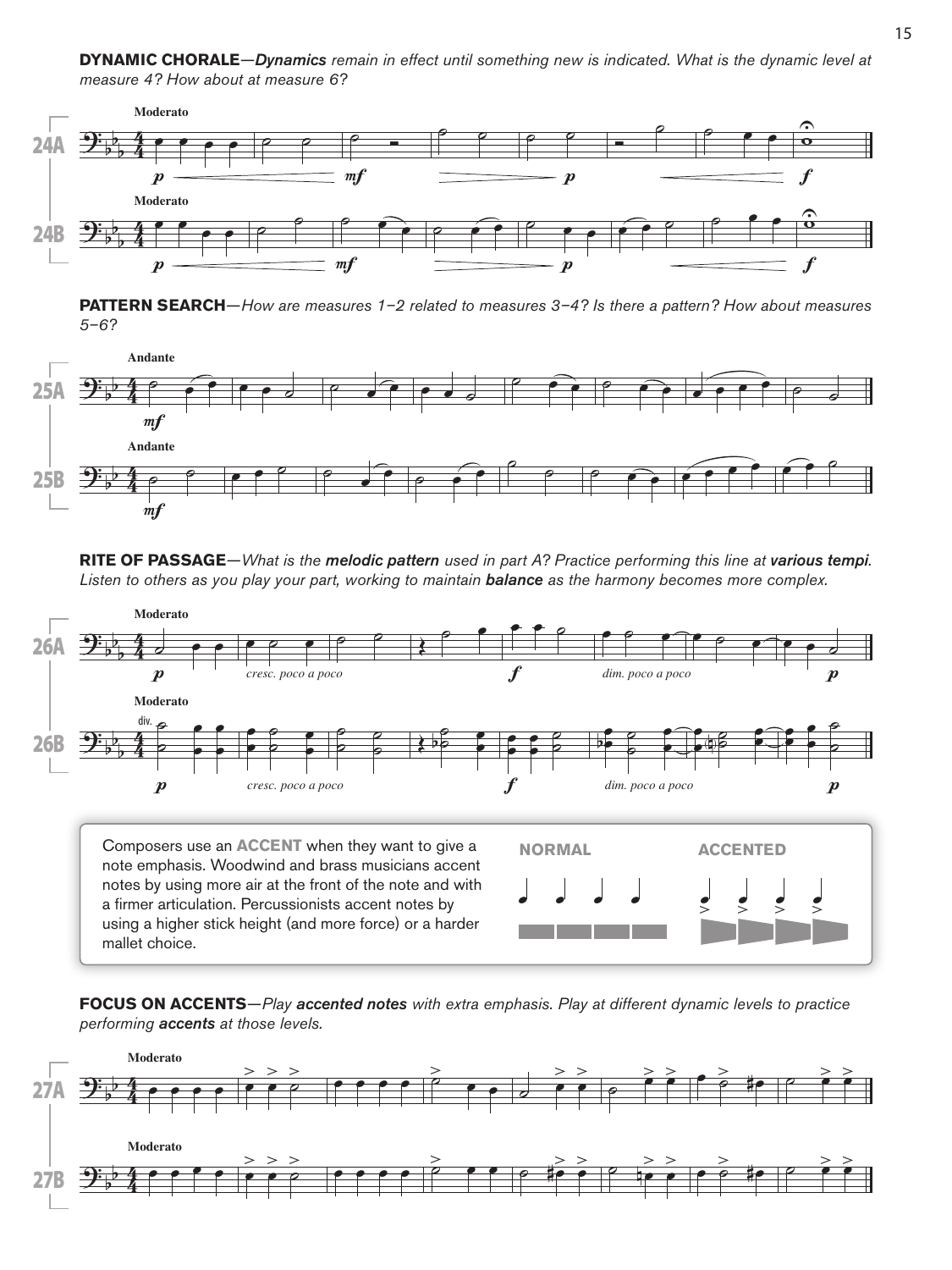**DYNAMIC CHORALE**—*Dynamics remain in effect until something new is indicated. What is the dynamic level at measure 4? How about at measure 6?*



**PATTERN SEARCH**—*How are measures 1–2 related to measures 3–4? Is there a pattern? How about measures 5–6?*



**RITE OF PASSAGE**—*What is the melodic pattern used in part A? Practice performing this line at various tempi. Listen to others as you play your part, working to maintain balance as the harmony becomes more complex.*



**FOCUS ON ACCENTS**—*Play accented notes with extra emphasis. Play at different dynamic levels to practice performing accents at those levels.*

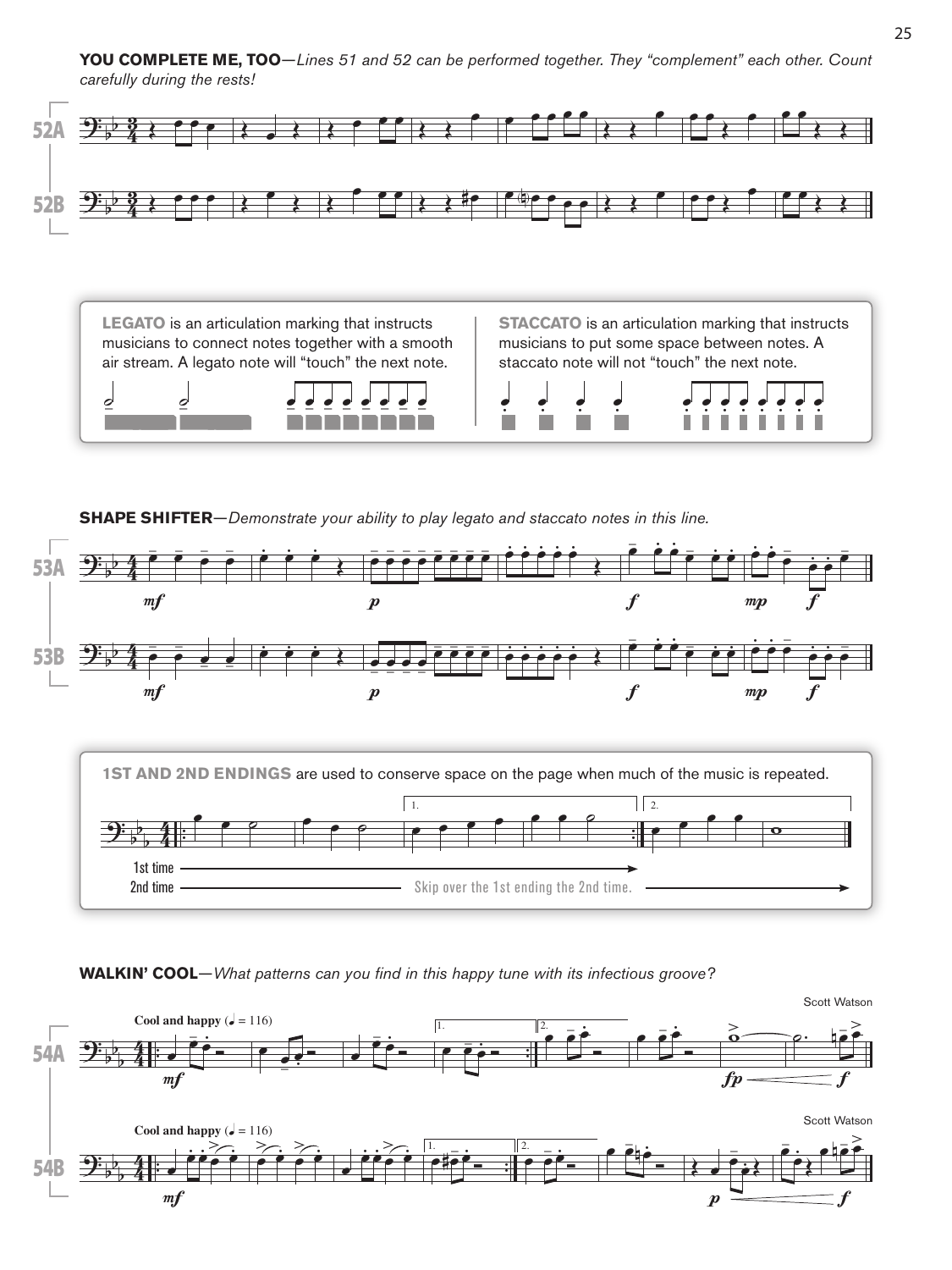**YOU COMPLETE ME, TOO**—*Lines 51 and 52 can be performed together. They "complement" each other. Count carefully during the rests!*



**LEGATO** is an articulation marking that instructs musicians to connect notes together with a smooth air stream. A legato note will "touch" the next note.

**STACCATO** is an articulation marking that instructs musicians to put some space between notes. A staccato note will not "touch" the next note.



.<br>.<br>. .<br>.<br>. .<br>.<br>. 2 | 2 2 2 2 - 2 .<br>. . .<br>. . .<br>. . .<br>. . .<br>. . .<br>. . .<br>.<br>. .

**SHAPE SHIFTER**—*Demonstrate your ability to play legato and staccato notes in this line.*





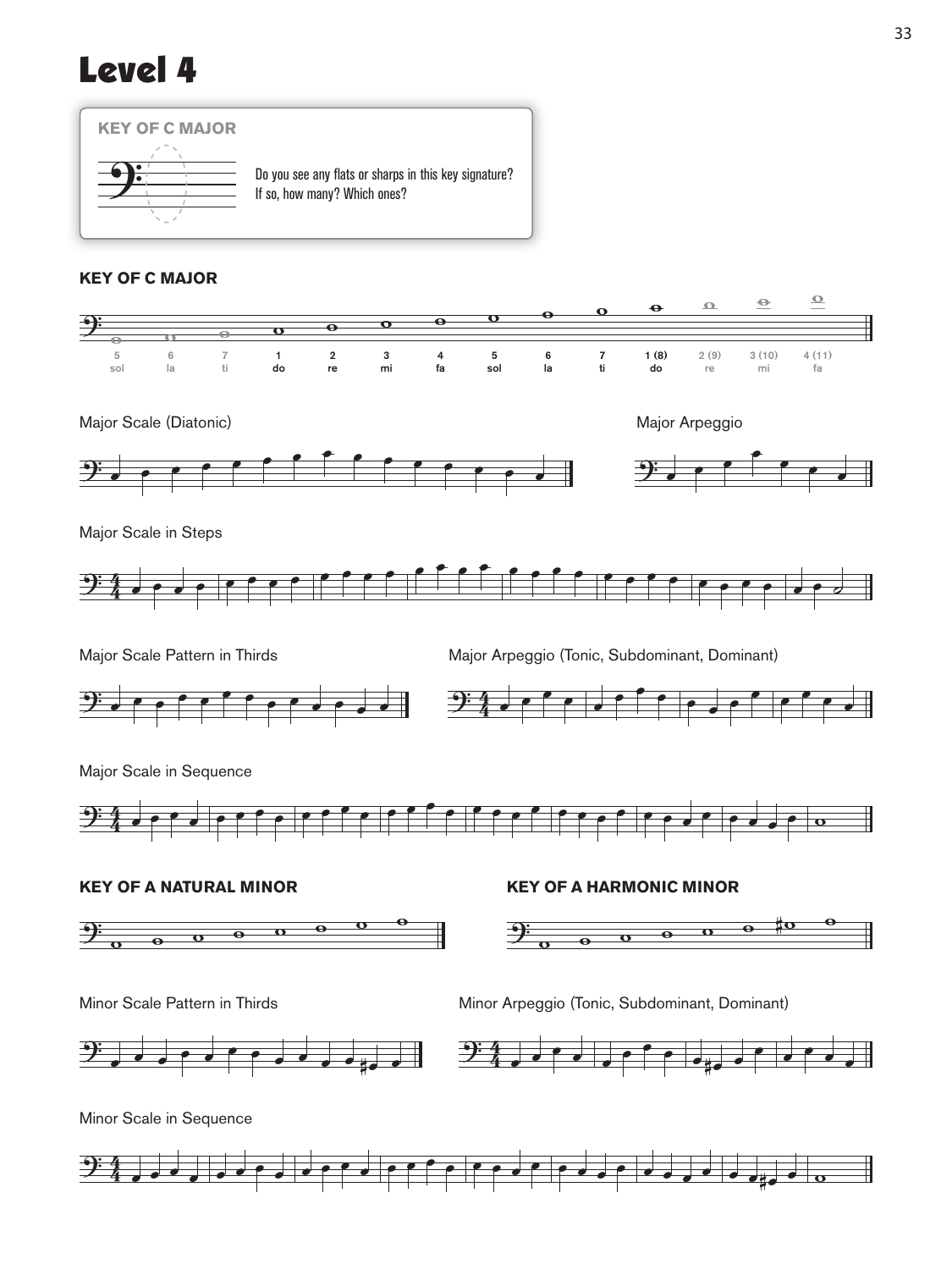## Level 4



## **KEY OF C MAJOR**





Major Scale in Steps



Major Scale Pattern in Thirds **Major Arpeggio (Tonic, Subdominant, Dominant)** 



Major Scale in Sequence









Minor Scale Pattern in Thirds **Minor Arpeggio (Tonic, Subdominant, Dominant)** 







 $\overset{\bullet}{\supset}$ 4 <sup>œ</sup> <sup>œ</sup> <sup>œ</sup> <sup>œ</sup> <sup>œ</sup> <sup>œ</sup> <sup>œ</sup> <sup>œ</sup> <sup>œ</sup> <sup>œ</sup> <sup>œ</sup> <sup>œ</sup> <sup>œ</sup> <sup>œ</sup> <sup>œ</sup> <sup>œ</sup> <sup>œ</sup> <sup>œ</sup> <sup>œ</sup> <sup>œ</sup> <sup>œ</sup> <sup>œ</sup> <sup>œ</sup> <sup>œ</sup> <sup>œ</sup> <sup>œ</sup> <sup>œ</sup> <sup>œ</sup> <sup>œ</sup> œ#œ <sup>œ</sup> <sup>w</sup>

Major Scale (Diatonic) Major Arpeggio